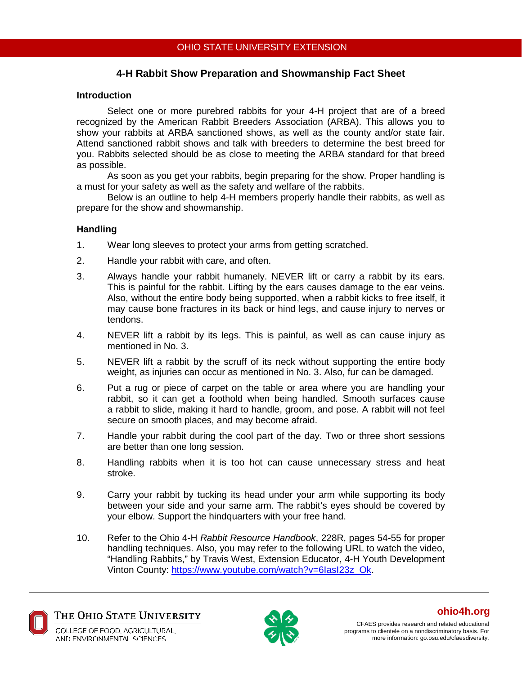# **4-H Rabbit Show Preparation and Showmanship Fact Sheet**

### **Introduction**

Select one or more purebred rabbits for your 4-H project that are of a breed recognized by the American Rabbit Breeders Association (ARBA). This allows you to show your rabbits at ARBA sanctioned shows, as well as the county and/or state fair. Attend sanctioned rabbit shows and talk with breeders to determine the best breed for you. Rabbits selected should be as close to meeting the ARBA standard for that breed as possible.

As soon as you get your rabbits, begin preparing for the show. Proper handling is a must for your safety as well as the safety and welfare of the rabbits.

Below is an outline to help 4-H members properly handle their rabbits, as well as prepare for the show and showmanship.

#### **Handling**

- 1. Wear long sleeves to protect your arms from getting scratched.
- 2. Handle your rabbit with care, and often.
- 3. Always handle your rabbit humanely. NEVER lift or carry a rabbit by its ears. This is painful for the rabbit. Lifting by the ears causes damage to the ear veins. Also, without the entire body being supported, when a rabbit kicks to free itself, it may cause bone fractures in its back or hind legs, and cause injury to nerves or tendons.
- 4. NEVER lift a rabbit by its legs. This is painful, as well as can cause injury as mentioned in No. 3.
- 5. NEVER lift a rabbit by the scruff of its neck without supporting the entire body weight, as injuries can occur as mentioned in No. 3. Also, fur can be damaged.
- 6. Put a rug or piece of carpet on the table or area where you are handling your rabbit, so it can get a foothold when being handled. Smooth surfaces cause a rabbit to slide, making it hard to handle, groom, and pose. A rabbit will not feel secure on smooth places, and may become afraid.
- 7. Handle your rabbit during the cool part of the day. Two or three short sessions are better than one long session.
- 8. Handling rabbits when it is too hot can cause unnecessary stress and heat stroke.
- 9. Carry your rabbit by tucking its head under your arm while supporting its body between your side and your same arm. The rabbit's eyes should be covered by your elbow. Support the hindquarters with your free hand.
- 10. Refer to the Ohio 4-H *Rabbit Resource Handbook*, 228R, pages 54-55 for proper handling techniques. Also, you may refer to the following URL to watch the video, "Handling Rabbits," by Travis West, Extension Educator, 4-H Youth Development Vinton County: [https://www.youtube.com/watch?v=6IasI23z\\_Ok.](https://www.youtube.com/watch?v=6IasI23z_Ok)



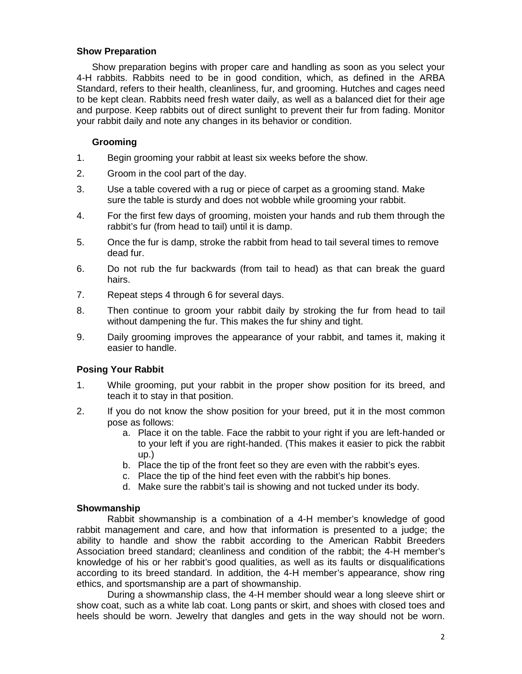### **Show Preparation**

Show preparation begins with proper care and handling as soon as you select your 4-H rabbits. Rabbits need to be in good condition, which, as defined in the ARBA Standard, refers to their health, cleanliness, fur, and grooming. Hutches and cages need to be kept clean. Rabbits need fresh water daily, as well as a balanced diet for their age and purpose. Keep rabbits out of direct sunlight to prevent their fur from fading. Monitor your rabbit daily and note any changes in its behavior or condition.

### **Grooming**

- 1. Begin grooming your rabbit at least six weeks before the show.
- 2. Groom in the cool part of the day.
- 3. Use a table covered with a rug or piece of carpet as a grooming stand. Make sure the table is sturdy and does not wobble while grooming your rabbit.
- 4. For the first few days of grooming, moisten your hands and rub them through the rabbit's fur (from head to tail) until it is damp.
- 5. Once the fur is damp, stroke the rabbit from head to tail several times to remove dead fur.
- 6. Do not rub the fur backwards (from tail to head) as that can break the guard hairs.
- 7. Repeat steps 4 through 6 for several days.
- 8. Then continue to groom your rabbit daily by stroking the fur from head to tail without dampening the fur. This makes the fur shiny and tight.
- 9. Daily grooming improves the appearance of your rabbit, and tames it, making it easier to handle.

# **Posing Your Rabbit**

- 1. While grooming, put your rabbit in the proper show position for its breed, and teach it to stay in that position.
- 2. If you do not know the show position for your breed, put it in the most common pose as follows:
	- a. Place it on the table. Face the rabbit to your right if you are left-handed or to your left if you are right-handed. (This makes it easier to pick the rabbit up.)
	- b. Place the tip of the front feet so they are even with the rabbit's eyes.
	- c. Place the tip of the hind feet even with the rabbit's hip bones.
	- d. Make sure the rabbit's tail is showing and not tucked under its body.

#### **Showmanship**

Rabbit showmanship is a combination of a 4-H member's knowledge of good rabbit management and care, and how that information is presented to a judge; the ability to handle and show the rabbit according to the American Rabbit Breeders Association breed standard; cleanliness and condition of the rabbit; the 4-H member's knowledge of his or her rabbit's good qualities, as well as its faults or disqualifications according to its breed standard. In addition, the 4-H member's appearance, show ring ethics, and sportsmanship are a part of showmanship.

During a showmanship class, the 4-H member should wear a long sleeve shirt or show coat, such as a white lab coat. Long pants or skirt, and shoes with closed toes and heels should be worn. Jewelry that dangles and gets in the way should not be worn.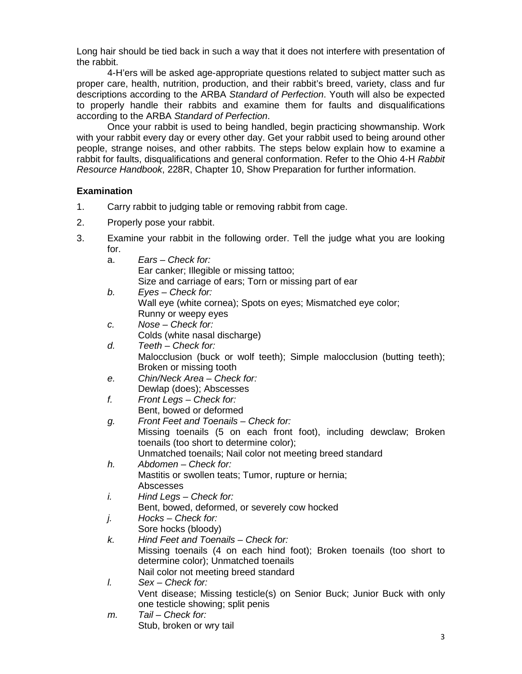Long hair should be tied back in such a way that it does not interfere with presentation of the rabbit.

4-H'ers will be asked age-appropriate questions related to subject matter such as proper care, health, nutrition, production, and their rabbit's breed, variety, class and fur descriptions according to the ARBA *Standard of Perfection*. Youth will also be expected to properly handle their rabbits and examine them for faults and disqualifications according to the ARBA *Standard of Perfection*.

Once your rabbit is used to being handled, begin practicing showmanship. Work with your rabbit every day or every other day. Get your rabbit used to being around other people, strange noises, and other rabbits. The steps below explain how to examine a rabbit for faults, disqualifications and general conformation. Refer to the Ohio 4-H *Rabbit Resource Handbook*, 228R, Chapter 10, Show Preparation for further information.

# **Examination**

- 1. Carry rabbit to judging table or removing rabbit from cage.
- 2. Properly pose your rabbit.
- 3. Examine your rabbit in the following order. Tell the judge what you are looking for.

| a. | Ears – Check for:                                             |
|----|---------------------------------------------------------------|
|    | Ear canker; Illegible or missing tattoo;                      |
|    | Size and carriage of ears; Torn or missing part of ear        |
| b. | $Eyes - Check for:$                                           |
|    | Wall eye (white cornea); Spots on eyes; Mismatched eye color; |
|    | Runny or waany avec                                           |

- Runny or weepy eyes *c. Nose – Check for:* Colds (white nasal discharge)
- *d. Teeth – Check for:* Malocclusion (buck or wolf teeth); Simple malocclusion (butting teeth); Broken or missing tooth
- *e. Chin/Neck Area – Check for:* Dewlap (does); Abscesses
- *f. Front Legs – Check for:* Bent, bowed or deformed
- *g. Front Feet and Toenails – Check for:* Missing toenails (5 on each front foot), including dewclaw; Broken toenails (too short to determine color); Unmatched toenails; Nail color not meeting breed standard
- *h. Abdomen – Check for:* Mastitis or swollen teats; Tumor, rupture or hernia; Abscesses
- *i. Hind Legs – Check for:* Bent, bowed, deformed, or severely cow hocked
- *j. Hocks – Check for:* Sore hocks (bloody)
- *k. Hind Feet and Toenails – Check for:* Missing toenails (4 on each hind foot); Broken toenails (too short to determine color); Unmatched toenails Nail color not meeting breed standard
- *l. Sex – Check for:* Vent disease; Missing testicle(s) on Senior Buck; Junior Buck with only one testicle showing; split penis
- *m. Tail – Check for:* Stub, broken or wry tail